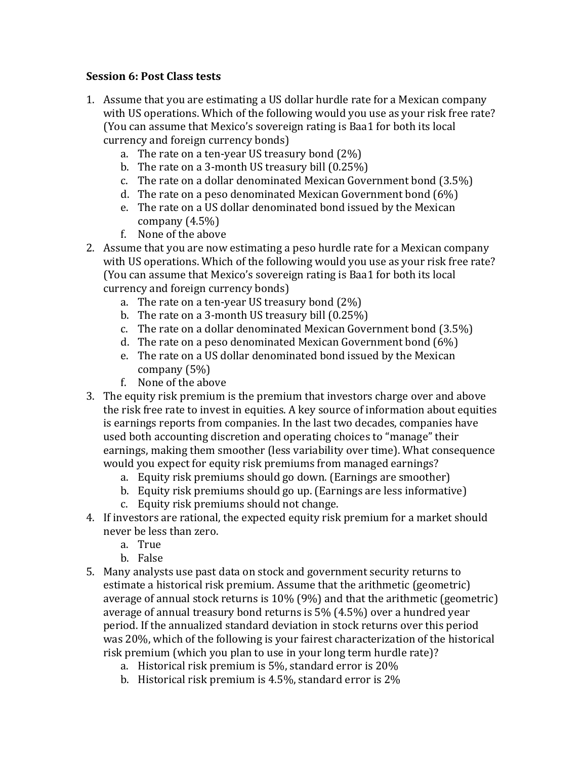## **Session 6: Post Class tests**

- 1. Assume that you are estimating a US dollar hurdle rate for a Mexican company with US operations. Which of the following would you use as your risk free rate? (You can assume that Mexico's sovereign rating is Baa1 for both its local currency and foreign currency bonds)
	- a. The rate on a ten-year US treasury bond  $(2\%)$
	- b. The rate on a 3-month US treasury bill  $(0.25\%)$
	- c. The rate on a dollar denominated Mexican Government bond  $(3.5\%)$
	- d. The rate on a peso denominated Mexican Government bond  $(6%)$
	- e. The rate on a US dollar denominated bond issued by the Mexican company  $(4.5\%)$
	- f. None of the above
- 2. Assume that you are now estimating a peso hurdle rate for a Mexican company with US operations. Which of the following would you use as your risk free rate? (You can assume that Mexico's sovereign rating is Baa1 for both its local currency and foreign currency bonds)
	- a. The rate on a ten-year US treasury bond  $(2\%)$
	- b. The rate on a 3-month US treasury bill  $(0.25\%)$
	- c. The rate on a dollar denominated Mexican Government bond  $(3.5\%)$
	- d. The rate on a peso denominated Mexican Government bond  $(6%)$
	- e. The rate on a US dollar denominated bond issued by the Mexican company  $(5%)$
	- f. None of the above
- 3. The equity risk premium is the premium that investors charge over and above the risk free rate to invest in equities. A key source of information about equities is earnings reports from companies. In the last two decades, companies have used both accounting discretion and operating choices to "manage" their earnings, making them smoother (less variability over time). What consequence would you expect for equity risk premiums from managed earnings?
	- a. Equity risk premiums should go down. (Earnings are smoother)
	- b. Equity risk premiums should go up. (Earnings are less informative)
	- c. Equity risk premiums should not change.
- 4. If investors are rational, the expected equity risk premium for a market should never be less than zero.
	- a. True
	- b. False
- 5. Many analysts use past data on stock and government security returns to estimate a historical risk premium. Assume that the arithmetic (geometric) average of annual stock returns is  $10\%$  (9%) and that the arithmetic (geometric) average of annual treasury bond returns is  $5\%$  (4.5%) over a hundred year period. If the annualized standard deviation in stock returns over this period was 20%, which of the following is your fairest characterization of the historical risk premium (which you plan to use in your long term hurdle rate)?
	- a. Historical risk premium is  $5\%$ , standard error is  $20\%$
	- b. Historical risk premium is  $4.5\%$ , standard error is  $2\%$